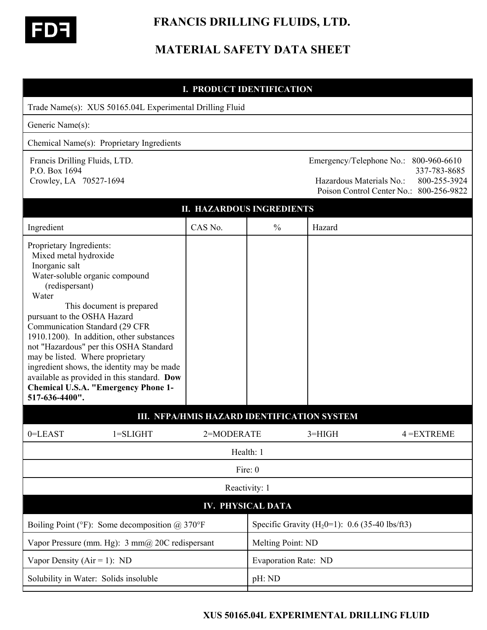

# **FRANCIS DRILLING FLUIDS, LTD.**

# **MATERIAL SAFETY DATA SHEET**

### **I. PRODUCT IDENTIFICATION**

| Trade Name(s): XUS 50165.04L Experimental Drilling Fluid                                                                                                                                                                                                                                                                                                                                                                                                                                                               |         |                          |                                                                                                                                              |               |  |  |  |
|------------------------------------------------------------------------------------------------------------------------------------------------------------------------------------------------------------------------------------------------------------------------------------------------------------------------------------------------------------------------------------------------------------------------------------------------------------------------------------------------------------------------|---------|--------------------------|----------------------------------------------------------------------------------------------------------------------------------------------|---------------|--|--|--|
| Generic Name(s):                                                                                                                                                                                                                                                                                                                                                                                                                                                                                                       |         |                          |                                                                                                                                              |               |  |  |  |
| Chemical Name(s): Proprietary Ingredients                                                                                                                                                                                                                                                                                                                                                                                                                                                                              |         |                          |                                                                                                                                              |               |  |  |  |
| Francis Drilling Fluids, LTD.<br>P.O. Box 1694<br>Crowley, LA 70527-1694                                                                                                                                                                                                                                                                                                                                                                                                                                               |         |                          | Emergency/Telephone No.: 800-960-6610<br>337-783-8685<br>Hazardous Materials No.:<br>800-255-3924<br>Poison Control Center No.: 800-256-9822 |               |  |  |  |
| <b>II. HAZARDOUS INGREDIENTS</b>                                                                                                                                                                                                                                                                                                                                                                                                                                                                                       |         |                          |                                                                                                                                              |               |  |  |  |
| Ingredient                                                                                                                                                                                                                                                                                                                                                                                                                                                                                                             | CAS No. | $\frac{0}{0}$            | Hazard                                                                                                                                       |               |  |  |  |
| Proprietary Ingredients:<br>Mixed metal hydroxide<br>Inorganic salt<br>Water-soluble organic compound<br>(redispersant)<br>Water<br>This document is prepared<br>pursuant to the OSHA Hazard<br>Communication Standard (29 CFR<br>1910.1200). In addition, other substances<br>not "Hazardous" per this OSHA Standard<br>may be listed. Where proprietary<br>ingredient shows, the identity may be made<br>available as provided in this standard. Dow<br><b>Chemical U.S.A. "Emergency Phone 1-</b><br>517-636-4400". |         |                          |                                                                                                                                              |               |  |  |  |
| 0=LEAST                                                                                                                                                                                                                                                                                                                                                                                                                                                                                                                |         |                          | III. NFPA/HMIS HAZARD IDENTIFICATION SYSTEM                                                                                                  | $4 = EXTREME$ |  |  |  |
| $1 = SLIGHT$<br>2=MODERATE<br>$3=HIGH$<br>Health: 1                                                                                                                                                                                                                                                                                                                                                                                                                                                                    |         |                          |                                                                                                                                              |               |  |  |  |
|                                                                                                                                                                                                                                                                                                                                                                                                                                                                                                                        |         | Fire: 0                  |                                                                                                                                              |               |  |  |  |
|                                                                                                                                                                                                                                                                                                                                                                                                                                                                                                                        |         | Reactivity: 1            |                                                                                                                                              |               |  |  |  |
|                                                                                                                                                                                                                                                                                                                                                                                                                                                                                                                        |         | <b>IV. PHYSICAL DATA</b> |                                                                                                                                              |               |  |  |  |
| Boiling Point ( ${}^{\circ}$ F): Some decomposition @ 370 ${}^{\circ}$ F                                                                                                                                                                                                                                                                                                                                                                                                                                               |         |                          | Specific Gravity (H <sub>2</sub> 0=1): 0.6 (35-40 lbs/ft3)                                                                                   |               |  |  |  |
| Vapor Pressure (mm. Hg): $3 \text{ mm}(\hat{a})$ 20C redispersant                                                                                                                                                                                                                                                                                                                                                                                                                                                      |         |                          | Melting Point: ND                                                                                                                            |               |  |  |  |
| Vapor Density ( $Air = 1$ ): ND                                                                                                                                                                                                                                                                                                                                                                                                                                                                                        |         |                          | <b>Evaporation Rate: ND</b>                                                                                                                  |               |  |  |  |
| Solubility in Water: Solids insoluble                                                                                                                                                                                                                                                                                                                                                                                                                                                                                  |         | pH: ND                   |                                                                                                                                              |               |  |  |  |

#### **XUS 50165.04L EXPERIMENTAL DRILLING FLUID**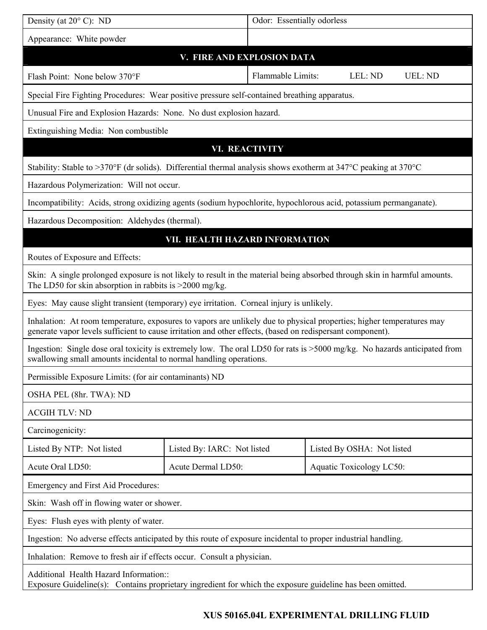| Density (at $20^{\circ}$ C): ND                                                                                                                                                                                                     |                                               | Odor: Essentially odorless |  |                                 |                |  |
|-------------------------------------------------------------------------------------------------------------------------------------------------------------------------------------------------------------------------------------|-----------------------------------------------|----------------------------|--|---------------------------------|----------------|--|
| Appearance: White powder                                                                                                                                                                                                            |                                               |                            |  |                                 |                |  |
| V. FIRE AND EXPLOSION DATA                                                                                                                                                                                                          |                                               |                            |  |                                 |                |  |
| Flash Point: None below 370°F                                                                                                                                                                                                       |                                               | Flammable Limits:          |  | LEL: ND                         | <b>UEL: ND</b> |  |
| Special Fire Fighting Procedures: Wear positive pressure self-contained breathing apparatus.                                                                                                                                        |                                               |                            |  |                                 |                |  |
| Unusual Fire and Explosion Hazards: None. No dust explosion hazard.                                                                                                                                                                 |                                               |                            |  |                                 |                |  |
| Extinguishing Media: Non combustible                                                                                                                                                                                                |                                               |                            |  |                                 |                |  |
| <b>VI. REACTIVITY</b>                                                                                                                                                                                                               |                                               |                            |  |                                 |                |  |
| Stability: Stable to >370°F (dr solids). Differential thermal analysis shows exotherm at $347^{\circ}$ C peaking at $370^{\circ}$ C                                                                                                 |                                               |                            |  |                                 |                |  |
|                                                                                                                                                                                                                                     | Hazardous Polymerization: Will not occur.     |                            |  |                                 |                |  |
| Incompatibility: Acids, strong oxidizing agents (sodium hypochlorite, hypochlorous acid, potassium permanganate).                                                                                                                   |                                               |                            |  |                                 |                |  |
|                                                                                                                                                                                                                                     | Hazardous Decomposition: Aldehydes (thermal). |                            |  |                                 |                |  |
| VII. HEALTH HAZARD INFORMATION                                                                                                                                                                                                      |                                               |                            |  |                                 |                |  |
| Routes of Exposure and Effects:                                                                                                                                                                                                     |                                               |                            |  |                                 |                |  |
| Skin: A single prolonged exposure is not likely to result in the material being absorbed through skin in harmful amounts.<br>The LD50 for skin absorption in rabbits is $>$ 2000 mg/kg.                                             |                                               |                            |  |                                 |                |  |
| Eyes: May cause slight transient (temporary) eye irritation. Corneal injury is unlikely.                                                                                                                                            |                                               |                            |  |                                 |                |  |
| Inhalation: At room temperature, exposures to vapors are unlikely due to physical properties; higher temperatures may<br>generate vapor levels sufficient to cause irritation and other effects, (based on redispersant component). |                                               |                            |  |                                 |                |  |
| Ingestion: Single dose oral toxicity is extremely low. The oral LD50 for rats is >5000 mg/kg. No hazards anticipated from<br>swallowing small amounts incidental to normal handling operations.                                     |                                               |                            |  |                                 |                |  |
| Permissible Exposure Limits: (for air contaminants) ND                                                                                                                                                                              |                                               |                            |  |                                 |                |  |
| OSHA PEL (8hr. TWA): ND                                                                                                                                                                                                             |                                               |                            |  |                                 |                |  |
| <b>ACGIH TLV: ND</b>                                                                                                                                                                                                                |                                               |                            |  |                                 |                |  |
| Carcinogenicity:                                                                                                                                                                                                                    |                                               |                            |  |                                 |                |  |
| Listed By NTP: Not listed                                                                                                                                                                                                           | Listed By: IARC: Not listed                   |                            |  | Listed By OSHA: Not listed      |                |  |
| Acute Oral LD50:                                                                                                                                                                                                                    | Acute Dermal LD50:                            |                            |  | <b>Aquatic Toxicology LC50:</b> |                |  |
| Emergency and First Aid Procedures:                                                                                                                                                                                                 |                                               |                            |  |                                 |                |  |
| Skin: Wash off in flowing water or shower.                                                                                                                                                                                          |                                               |                            |  |                                 |                |  |
| Eyes: Flush eyes with plenty of water.                                                                                                                                                                                              |                                               |                            |  |                                 |                |  |
| Ingestion: No adverse effects anticipated by this route of exposure incidental to proper industrial handling.                                                                                                                       |                                               |                            |  |                                 |                |  |
| Inhalation: Remove to fresh air if effects occur. Consult a physician.                                                                                                                                                              |                                               |                            |  |                                 |                |  |
| Additional Health Hazard Information::<br>Exposure Guideline(s): Contains proprietary ingredient for which the exposure guideline has been omitted.                                                                                 |                                               |                            |  |                                 |                |  |